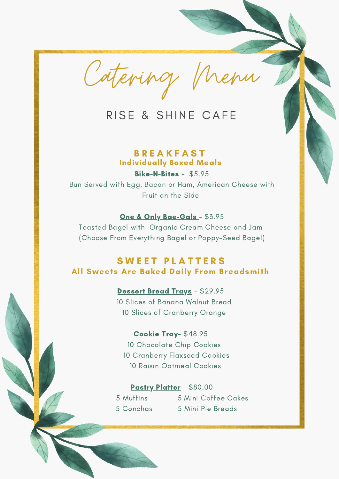Catering Menu

# RISE & SHINE CAFE

## **B R E A K F A S T** Individually Boxed Meals

Bike-N-Bites - \$5.95 Bun Served with Egg, Bacon or Ham, American Cheese with Fruit on the Side

## One & Only Bae-Gals - \$3.95

Toasted Bagel with Organic Cream Cheese and Jam (Choose From Everything Bagel or Poppy-Seed Bagel)

# **SWEET PLATTERS** All Sweets Are Baked Daily From Breadsmith

#### Dessert Bread Trays - \$29.95

10 Slices of Banana Walnut Bread 10 Slices of Cranberry Orange

#### Cookie Tray- \$48.95

10 Chocolate Chip Cookies 10 Cranberry Flaxseed Cookies 10 Raisin Oatmeal Cookies

#### Pastry Platter - \$80.00

5 Muffins 5 Mini Coffee Cakes 5 Conchas 5 Mini Pie Breads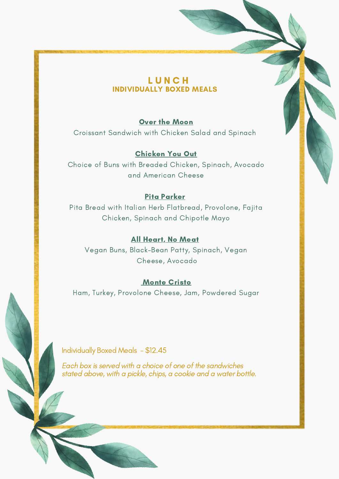## **LUNCH** INDIVIDUALLY BOXED MEALS

## Over the Moon

Croissant Sandwich with Chicken Salad and Spinach

Chicken You Out Choice of Buns with Breaded Chicken, Spinach, Avocado and American Cheese

## Pita Parker

Pita Bread with Italian Herb Flatbread, Provolone, Fajita Chicken, Spinach and Chipotle Mayo

#### All Heart, No Meat

Vegan Buns, Black-Bean Patty, Spinach, Vegan Cheese, Avocado

#### **Monte Cristo**

Ham, Turkey, Provolone Cheese, Jam, Powdered Sugar

Individually Boxed Meals - \$12.45

Each box is served with a choice of one of the sandwiches stated above, with a pickle, chips, a cookie and a water bottle.